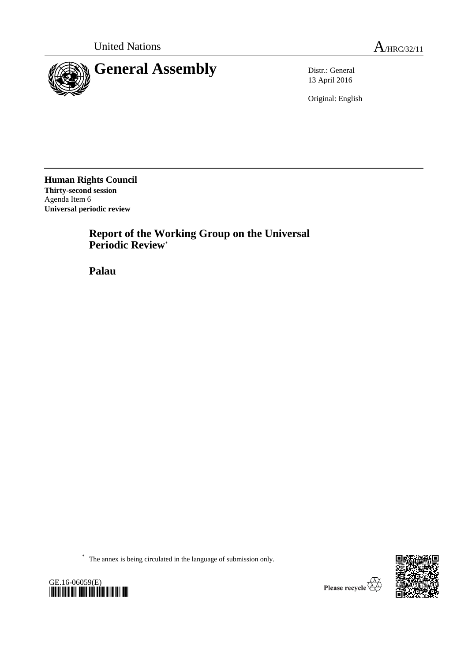

13 April 2016

Original: English

**Human Rights Council Thirty-second session** Agenda Item 6 **Universal periodic review**

> **Report of the Working Group on the Universal Periodic Review**\*

**Palau**

\* The annex is being circulated in the language of submission only.



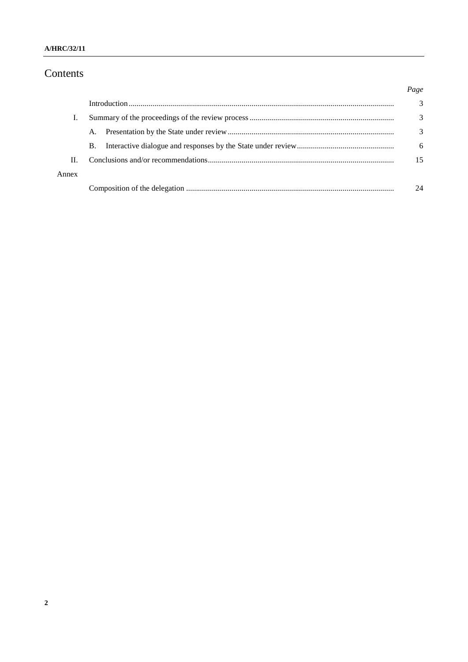### A/HRC/32/11

# Contents

|       |           | Page |
|-------|-----------|------|
|       |           | 3    |
|       |           | 3    |
|       | A.        | 3    |
|       | <b>B.</b> | 6    |
| Н.    |           | 15   |
| Annex |           |      |
|       |           | 24   |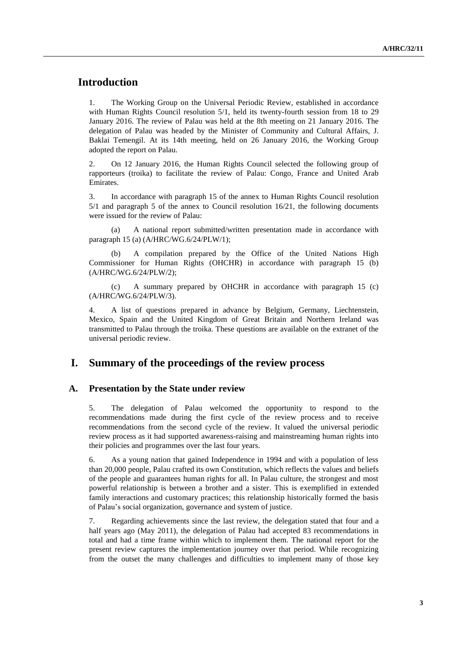## **Introduction**

1. The Working Group on the Universal Periodic Review, established in accordance with Human Rights Council resolution 5/1, held its twenty-fourth session from 18 to 29 January 2016. The review of Palau was held at the 8th meeting on 21 January 2016. The delegation of Palau was headed by the Minister of Community and Cultural Affairs, J. Baklai Temengil. At its 14th meeting, held on 26 January 2016, the Working Group adopted the report on Palau.

2. On 12 January 2016, the Human Rights Council selected the following group of rapporteurs (troika) to facilitate the review of Palau: Congo, France and United Arab Emirates.

3. In accordance with paragraph 15 of the annex to Human Rights Council resolution 5/1 and paragraph 5 of the annex to Council resolution 16/21, the following documents were issued for the review of Palau:

(a) A national report submitted/written presentation made in accordance with paragraph 15 (a) (A/HRC/WG.6/24/PLW/1);

(b) A compilation prepared by the Office of the United Nations High Commissioner for Human Rights (OHCHR) in accordance with paragraph 15 (b) (A/HRC/WG.6/24/PLW/2);

(c) A summary prepared by OHCHR in accordance with paragraph 15 (c) (A/HRC/WG.6/24/PLW/3).

4. A list of questions prepared in advance by Belgium, Germany, Liechtenstein, Mexico, Spain and the United Kingdom of Great Britain and Northern Ireland was transmitted to Palau through the troika. These questions are available on the extranet of the universal periodic review.

### **I. Summary of the proceedings of the review process**

#### **A. Presentation by the State under review**

5. The delegation of Palau welcomed the opportunity to respond to the recommendations made during the first cycle of the review process and to receive recommendations from the second cycle of the review. It valued the universal periodic review process as it had supported awareness-raising and mainstreaming human rights into their policies and programmes over the last four years.

6. As a young nation that gained Independence in 1994 and with a population of less than 20,000 people, Palau crafted its own Constitution, which reflects the values and beliefs of the people and guarantees human rights for all. In Palau culture, the strongest and most powerful relationship is between a brother and a sister. This is exemplified in extended family interactions and customary practices; this relationship historically formed the basis of Palau's social organization, governance and system of justice.

7. Regarding achievements since the last review, the delegation stated that four and a half years ago (May 2011), the delegation of Palau had accepted 83 recommendations in total and had a time frame within which to implement them. The national report for the present review captures the implementation journey over that period. While recognizing from the outset the many challenges and difficulties to implement many of those key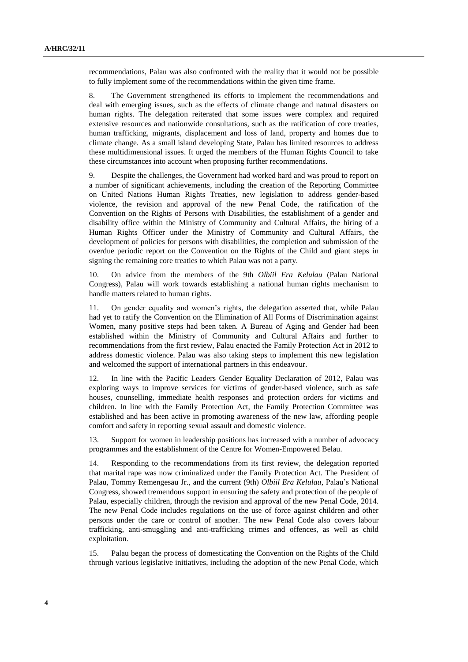recommendations, Palau was also confronted with the reality that it would not be possible to fully implement some of the recommendations within the given time frame.

8. The Government strengthened its efforts to implement the recommendations and deal with emerging issues, such as the effects of climate change and natural disasters on human rights. The delegation reiterated that some issues were complex and required extensive resources and nationwide consultations, such as the ratification of core treaties, human trafficking, migrants, displacement and loss of land, property and homes due to climate change. As a small island developing State, Palau has limited resources to address these multidimensional issues. It urged the members of the Human Rights Council to take these circumstances into account when proposing further recommendations.

9. Despite the challenges, the Government had worked hard and was proud to report on a number of significant achievements, including the creation of the Reporting Committee on United Nations Human Rights Treaties, new legislation to address gender-based violence, the revision and approval of the new Penal Code, the ratification of the Convention on the Rights of Persons with Disabilities, the establishment of a gender and disability office within the Ministry of Community and Cultural Affairs, the hiring of a Human Rights Officer under the Ministry of Community and Cultural Affairs, the development of policies for persons with disabilities, the completion and submission of the overdue periodic report on the Convention on the Rights of the Child and giant steps in signing the remaining core treaties to which Palau was not a party.

10. On advice from the members of the 9th *Olbiil Era Kelulau* (Palau National Congress), Palau will work towards establishing a national human rights mechanism to handle matters related to human rights.

11. On gender equality and women's rights, the delegation asserted that, while Palau had yet to ratify the Convention on the Elimination of All Forms of Discrimination against Women, many positive steps had been taken. A Bureau of Aging and Gender had been established within the Ministry of Community and Cultural Affairs and further to recommendations from the first review, Palau enacted the Family Protection Act in 2012 to address domestic violence. Palau was also taking steps to implement this new legislation and welcomed the support of international partners in this endeavour.

12. In line with the Pacific Leaders Gender Equality Declaration of 2012, Palau was exploring ways to improve services for victims of gender-based violence, such as safe houses, counselling, immediate health responses and protection orders for victims and children. In line with the Family Protection Act, the Family Protection Committee was established and has been active in promoting awareness of the new law, affording people comfort and safety in reporting sexual assault and domestic violence.

13. Support for women in leadership positions has increased with a number of advocacy programmes and the establishment of the Centre for Women-Empowered Belau.

14. Responding to the recommendations from its first review, the delegation reported that marital rape was now criminalized under the Family Protection Act. The President of Palau, Tommy Remengesau Jr., and the current (9th) *Olbiil Era Kelulau*, Palau's National Congress, showed tremendous support in ensuring the safety and protection of the people of Palau, especially children, through the revision and approval of the new Penal Code, 2014. The new Penal Code includes regulations on the use of force against children and other persons under the care or control of another. The new Penal Code also covers labour trafficking, anti-smuggling and anti-trafficking crimes and offences, as well as child exploitation.

15. Palau began the process of domesticating the Convention on the Rights of the Child through various legislative initiatives, including the adoption of the new Penal Code, which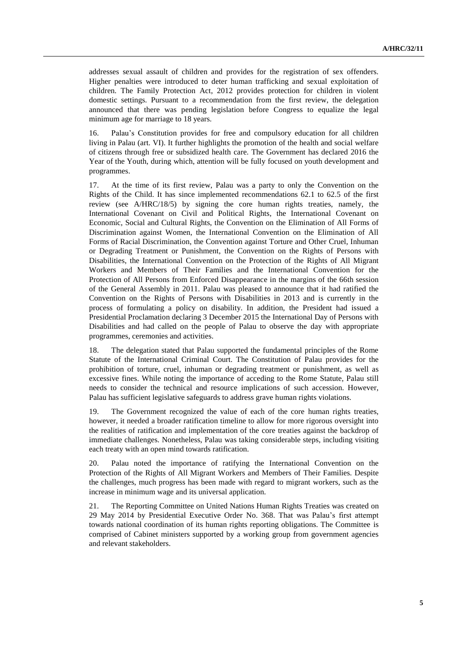addresses sexual assault of children and provides for the registration of sex offenders. Higher penalties were introduced to deter human trafficking and sexual exploitation of children. The Family Protection Act, 2012 provides protection for children in violent domestic settings. Pursuant to a recommendation from the first review, the delegation announced that there was pending legislation before Congress to equalize the legal minimum age for marriage to 18 years.

16. Palau's Constitution provides for free and compulsory education for all children living in Palau (art. VI). It further highlights the promotion of the health and social welfare of citizens through free or subsidized health care. The Government has declared 2016 the Year of the Youth, during which, attention will be fully focused on youth development and programmes.

17. At the time of its first review, Palau was a party to only the Convention on the Rights of the Child. It has since implemented recommendations 62.1 to 62.5 of the first review (see A/HRC/18/5) by signing the core human rights treaties, namely, the International Covenant on Civil and Political Rights, the International Covenant on Economic, Social and Cultural Rights, the Convention on the Elimination of All Forms of Discrimination against Women, the International Convention on the Elimination of All Forms of Racial Discrimination, the Convention against Torture and Other Cruel, Inhuman or Degrading Treatment or Punishment, the Convention on the Rights of Persons with Disabilities, the International Convention on the Protection of the Rights of All Migrant Workers and Members of Their Families and the International Convention for the Protection of All Persons from Enforced Disappearance in the margins of the 66th session of the General Assembly in 2011. Palau was pleased to announce that it had ratified the Convention on the Rights of Persons with Disabilities in 2013 and is currently in the process of formulating a policy on disability. In addition, the President had issued a Presidential Proclamation declaring 3 December 2015 the International Day of Persons with Disabilities and had called on the people of Palau to observe the day with appropriate programmes, ceremonies and activities.

18. The delegation stated that Palau supported the fundamental principles of the Rome Statute of the International Criminal Court. The Constitution of Palau provides for the prohibition of torture, cruel, inhuman or degrading treatment or punishment, as well as excessive fines. While noting the importance of acceding to the Rome Statute, Palau still needs to consider the technical and resource implications of such accession. However, Palau has sufficient legislative safeguards to address grave human rights violations.

19. The Government recognized the value of each of the core human rights treaties, however, it needed a broader ratification timeline to allow for more rigorous oversight into the realities of ratification and implementation of the core treaties against the backdrop of immediate challenges. Nonetheless, Palau was taking considerable steps, including visiting each treaty with an open mind towards ratification.

20. Palau noted the importance of ratifying the International Convention on the Protection of the Rights of All Migrant Workers and Members of Their Families. Despite the challenges, much progress has been made with regard to migrant workers, such as the increase in minimum wage and its universal application.

21. The Reporting Committee on United Nations Human Rights Treaties was created on 29 May 2014 by Presidential Executive Order No. 368. That was Palau's first attempt towards national coordination of its human rights reporting obligations. The Committee is comprised of Cabinet ministers supported by a working group from government agencies and relevant stakeholders.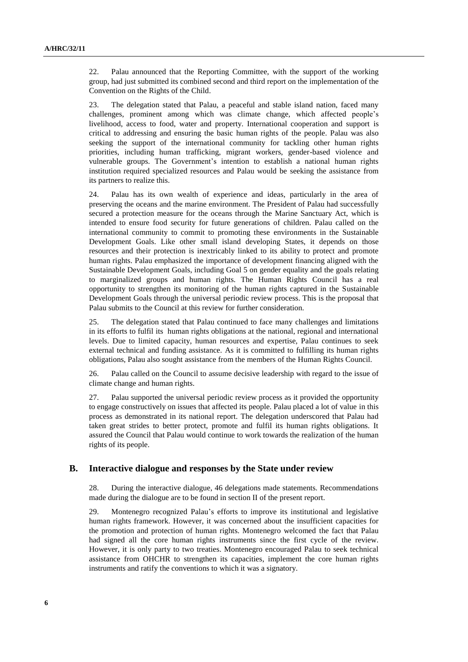22. Palau announced that the Reporting Committee, with the support of the working group, had just submitted its combined second and third report on the implementation of the Convention on the Rights of the Child.

23. The delegation stated that Palau, a peaceful and stable island nation, faced many challenges, prominent among which was climate change, which affected people's livelihood, access to food, water and property. International cooperation and support is critical to addressing and ensuring the basic human rights of the people. Palau was also seeking the support of the international community for tackling other human rights priorities, including human trafficking, migrant workers, gender-based violence and vulnerable groups. The Government's intention to establish a national human rights institution required specialized resources and Palau would be seeking the assistance from its partners to realize this.

24. Palau has its own wealth of experience and ideas, particularly in the area of preserving the oceans and the marine environment. The President of Palau had successfully secured a protection measure for the oceans through the Marine Sanctuary Act, which is intended to ensure food security for future generations of children. Palau called on the international community to commit to promoting these environments in the Sustainable Development Goals. Like other small island developing States, it depends on those resources and their protection is inextricably linked to its ability to protect and promote human rights. Palau emphasized the importance of development financing aligned with the Sustainable Development Goals, including Goal 5 on gender equality and the goals relating to marginalized groups and human rights. The Human Rights Council has a real opportunity to strengthen its monitoring of the human rights captured in the Sustainable Development Goals through the universal periodic review process. This is the proposal that Palau submits to the Council at this review for further consideration.

25. The delegation stated that Palau continued to face many challenges and limitations in its efforts to fulfil its human rights obligations at the national, regional and international levels. Due to limited capacity, human resources and expertise, Palau continues to seek external technical and funding assistance. As it is committed to fulfilling its human rights obligations, Palau also sought assistance from the members of the Human Rights Council.

26. Palau called on the Council to assume decisive leadership with regard to the issue of climate change and human rights.

27. Palau supported the universal periodic review process as it provided the opportunity to engage constructively on issues that affected its people. Palau placed a lot of value in this process as demonstrated in its national report. The delegation underscored that Palau had taken great strides to better protect, promote and fulfil its human rights obligations. It assured the Council that Palau would continue to work towards the realization of the human rights of its people.

#### **B. Interactive dialogue and responses by the State under review**

28. During the interactive dialogue, 46 delegations made statements. Recommendations made during the dialogue are to be found in section II of the present report.

29. Montenegro recognized Palau's efforts to improve its institutional and legislative human rights framework. However, it was concerned about the insufficient capacities for the promotion and protection of human rights. Montenegro welcomed the fact that Palau had signed all the core human rights instruments since the first cycle of the review. However, it is only party to two treaties. Montenegro encouraged Palau to seek technical assistance from OHCHR to strengthen its capacities, implement the core human rights instruments and ratify the conventions to which it was a signatory.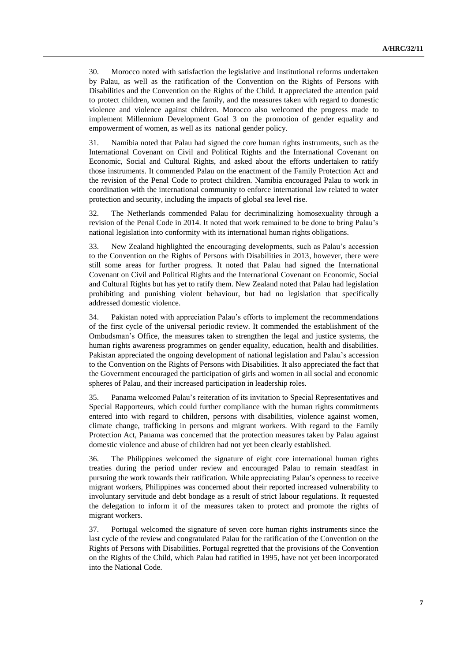30. Morocco noted with satisfaction the legislative and institutional reforms undertaken by Palau, as well as the ratification of the Convention on the Rights of Persons with Disabilities and the Convention on the Rights of the Child. It appreciated the attention paid to protect children, women and the family, and the measures taken with regard to domestic violence and violence against children. Morocco also welcomed the progress made to implement Millennium Development Goal 3 on the promotion of gender equality and empowerment of women, as well as its national gender policy.

31. Namibia noted that Palau had signed the core human rights instruments, such as the International Covenant on Civil and Political Rights and the International Covenant on Economic, Social and Cultural Rights, and asked about the efforts undertaken to ratify those instruments. It commended Palau on the enactment of the Family Protection Act and the revision of the Penal Code to protect children. Namibia encouraged Palau to work in coordination with the international community to enforce international law related to water protection and security, including the impacts of global sea level rise.

32. The Netherlands commended Palau for decriminalizing homosexuality through a revision of the Penal Code in 2014. It noted that work remained to be done to bring Palau's national legislation into conformity with its international human rights obligations.

33. New Zealand highlighted the encouraging developments, such as Palau's accession to the Convention on the Rights of Persons with Disabilities in 2013, however, there were still some areas for further progress. It noted that Palau had signed the International Covenant on Civil and Political Rights and the International Covenant on Economic, Social and Cultural Rights but has yet to ratify them. New Zealand noted that Palau had legislation prohibiting and punishing violent behaviour, but had no legislation that specifically addressed domestic violence.

34. Pakistan noted with appreciation Palau's efforts to implement the recommendations of the first cycle of the universal periodic review. It commended the establishment of the Ombudsman's Office, the measures taken to strengthen the legal and justice systems, the human rights awareness programmes on gender equality, education, health and disabilities. Pakistan appreciated the ongoing development of national legislation and Palau's accession to the Convention on the Rights of Persons with Disabilities. It also appreciated the fact that the Government encouraged the participation of girls and women in all social and economic spheres of Palau, and their increased participation in leadership roles.

35. Panama welcomed Palau's reiteration of its invitation to Special Representatives and Special Rapporteurs, which could further compliance with the human rights commitments entered into with regard to children, persons with disabilities, violence against women, climate change, trafficking in persons and migrant workers. With regard to the Family Protection Act, Panama was concerned that the protection measures taken by Palau against domestic violence and abuse of children had not yet been clearly established.

36. The Philippines welcomed the signature of eight core international human rights treaties during the period under review and encouraged Palau to remain steadfast in pursuing the work towards their ratification. While appreciating Palau's openness to receive migrant workers, Philippines was concerned about their reported increased vulnerability to involuntary servitude and debt bondage as a result of strict labour regulations. It requested the delegation to inform it of the measures taken to protect and promote the rights of migrant workers.

37. Portugal welcomed the signature of seven core human rights instruments since the last cycle of the review and congratulated Palau for the ratification of the Convention on the Rights of Persons with Disabilities. Portugal regretted that the provisions of the Convention on the Rights of the Child, which Palau had ratified in 1995, have not yet been incorporated into the National Code.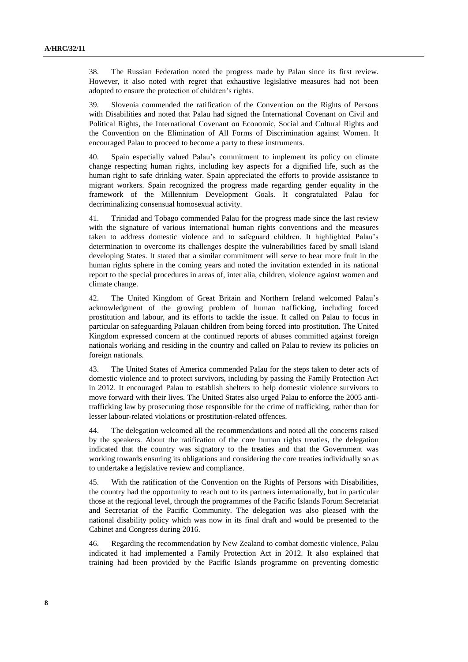38. The Russian Federation noted the progress made by Palau since its first review. However, it also noted with regret that exhaustive legislative measures had not been adopted to ensure the protection of children's rights.

39. Slovenia commended the ratification of the Convention on the Rights of Persons with Disabilities and noted that Palau had signed the International Covenant on Civil and Political Rights, the International Covenant on Economic, Social and Cultural Rights and the Convention on the Elimination of All Forms of Discrimination against Women. It encouraged Palau to proceed to become a party to these instruments.

40. Spain especially valued Palau's commitment to implement its policy on climate change respecting human rights, including key aspects for a dignified life, such as the human right to safe drinking water. Spain appreciated the efforts to provide assistance to migrant workers. Spain recognized the progress made regarding gender equality in the framework of the Millennium Development Goals. It congratulated Palau for decriminalizing consensual homosexual activity.

41. Trinidad and Tobago commended Palau for the progress made since the last review with the signature of various international human rights conventions and the measures taken to address domestic violence and to safeguard children. It highlighted Palau's determination to overcome its challenges despite the vulnerabilities faced by small island developing States. It stated that a similar commitment will serve to bear more fruit in the human rights sphere in the coming years and noted the invitation extended in its national report to the special procedures in areas of, inter alia, children, violence against women and climate change.

42. The United Kingdom of Great Britain and Northern Ireland welcomed Palau's acknowledgment of the growing problem of human trafficking, including forced prostitution and labour, and its efforts to tackle the issue. It called on Palau to focus in particular on safeguarding Palauan children from being forced into prostitution. The United Kingdom expressed concern at the continued reports of abuses committed against foreign nationals working and residing in the country and called on Palau to review its policies on foreign nationals.

43. The United States of America commended Palau for the steps taken to deter acts of domestic violence and to protect survivors, including by passing the Family Protection Act in 2012. It encouraged Palau to establish shelters to help domestic violence survivors to move forward with their lives. The United States also urged Palau to enforce the 2005 antitrafficking law by prosecuting those responsible for the crime of trafficking, rather than for lesser labour-related violations or prostitution-related offences.

44. The delegation welcomed all the recommendations and noted all the concerns raised by the speakers. About the ratification of the core human rights treaties, the delegation indicated that the country was signatory to the treaties and that the Government was working towards ensuring its obligations and considering the core treaties individually so as to undertake a legislative review and compliance.

45. With the ratification of the Convention on the Rights of Persons with Disabilities, the country had the opportunity to reach out to its partners internationally, but in particular those at the regional level, through the programmes of the Pacific Islands Forum Secretariat and Secretariat of the Pacific Community. The delegation was also pleased with the national disability policy which was now in its final draft and would be presented to the Cabinet and Congress during 2016.

46. Regarding the recommendation by New Zealand to combat domestic violence, Palau indicated it had implemented a Family Protection Act in 2012. It also explained that training had been provided by the Pacific Islands programme on preventing domestic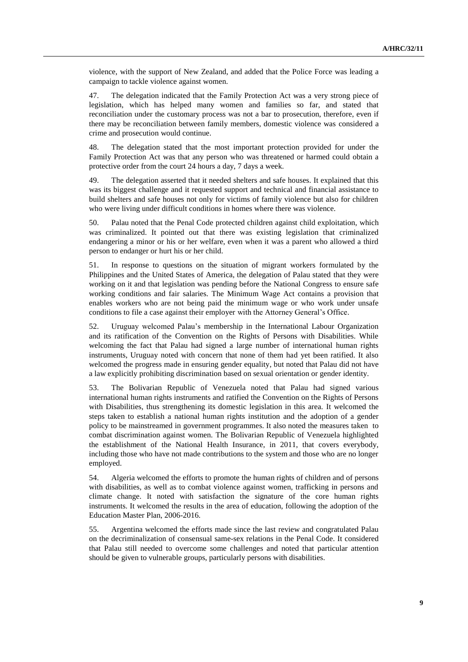violence, with the support of New Zealand, and added that the Police Force was leading a campaign to tackle violence against women.

47. The delegation indicated that the Family Protection Act was a very strong piece of legislation, which has helped many women and families so far, and stated that reconciliation under the customary process was not a bar to prosecution, therefore, even if there may be reconciliation between family members, domestic violence was considered a crime and prosecution would continue.

48. The delegation stated that the most important protection provided for under the Family Protection Act was that any person who was threatened or harmed could obtain a protective order from the court 24 hours a day, 7 days a week.

49. The delegation asserted that it needed shelters and safe houses. It explained that this was its biggest challenge and it requested support and technical and financial assistance to build shelters and safe houses not only for victims of family violence but also for children who were living under difficult conditions in homes where there was violence.

50. Palau noted that the Penal Code protected children against child exploitation, which was criminalized. It pointed out that there was existing legislation that criminalized endangering a minor or his or her welfare, even when it was a parent who allowed a third person to endanger or hurt his or her child.

51. In response to questions on the situation of migrant workers formulated by the Philippines and the United States of America, the delegation of Palau stated that they were working on it and that legislation was pending before the National Congress to ensure safe working conditions and fair salaries. The Minimum Wage Act contains a provision that enables workers who are not being paid the minimum wage or who work under unsafe conditions to file a case against their employer with the Attorney General's Office.

52. Uruguay welcomed Palau's membership in the International Labour Organization and its ratification of the Convention on the Rights of Persons with Disabilities. While welcoming the fact that Palau had signed a large number of international human rights instruments, Uruguay noted with concern that none of them had yet been ratified. It also welcomed the progress made in ensuring gender equality, but noted that Palau did not have a law explicitly prohibiting discrimination based on sexual orientation or gender identity.

53. The Bolivarian Republic of Venezuela noted that Palau had signed various international human rights instruments and ratified the Convention on the Rights of Persons with Disabilities, thus strengthening its domestic legislation in this area. It welcomed the steps taken to establish a national human rights institution and the adoption of a gender policy to be mainstreamed in government programmes. It also noted the measures taken to combat discrimination against women. The Bolivarian Republic of Venezuela highlighted the establishment of the National Health Insurance, in 2011, that covers everybody, including those who have not made contributions to the system and those who are no longer employed.

54. Algeria welcomed the efforts to promote the human rights of children and of persons with disabilities, as well as to combat violence against women, trafficking in persons and climate change. It noted with satisfaction the signature of the core human rights instruments. It welcomed the results in the area of education, following the adoption of the Education Master Plan, 2006-2016.

55. Argentina welcomed the efforts made since the last review and congratulated Palau on the decriminalization of consensual same-sex relations in the Penal Code. It considered that Palau still needed to overcome some challenges and noted that particular attention should be given to vulnerable groups, particularly persons with disabilities.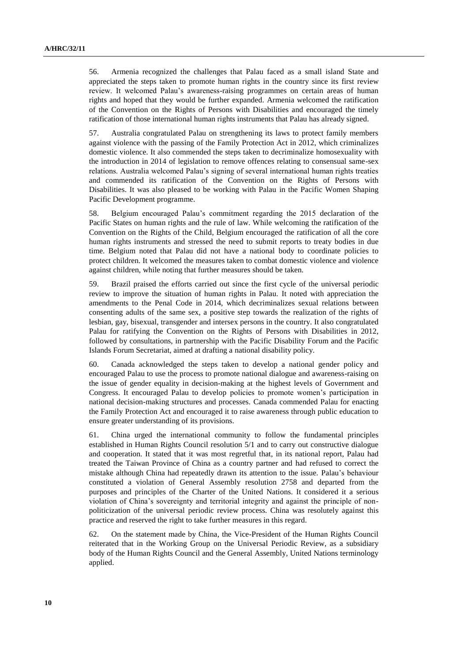56. Armenia recognized the challenges that Palau faced as a small island State and appreciated the steps taken to promote human rights in the country since its first review review. It welcomed Palau's awareness-raising programmes on certain areas of human rights and hoped that they would be further expanded. Armenia welcomed the ratification of the Convention on the Rights of Persons with Disabilities and encouraged the timely ratification of those international human rights instruments that Palau has already signed.

57. Australia congratulated Palau on strengthening its laws to protect family members against violence with the passing of the Family Protection Act in 2012, which criminalizes domestic violence. It also commended the steps taken to decriminalize homosexuality with the introduction in 2014 of legislation to remove offences relating to consensual same-sex relations. Australia welcomed Palau's signing of several international human rights treaties and commended its ratification of the Convention on the Rights of Persons with Disabilities. It was also pleased to be working with Palau in the Pacific Women Shaping Pacific Development programme.

58. Belgium encouraged Palau's commitment regarding the 2015 declaration of the Pacific States on human rights and the rule of law. While welcoming the ratification of the Convention on the Rights of the Child, Belgium encouraged the ratification of all the core human rights instruments and stressed the need to submit reports to treaty bodies in due time. Belgium noted that Palau did not have a national body to coordinate policies to protect children. It welcomed the measures taken to combat domestic violence and violence against children, while noting that further measures should be taken.

59. Brazil praised the efforts carried out since the first cycle of the universal periodic review to improve the situation of human rights in Palau. It noted with appreciation the amendments to the Penal Code in 2014, which decriminalizes sexual relations between consenting adults of the same sex, a positive step towards the realization of the rights of lesbian, gay, bisexual, transgender and intersex persons in the country. It also congratulated Palau for ratifying the Convention on the Rights of Persons with Disabilities in 2012, followed by consultations, in partnership with the Pacific Disability Forum and the Pacific Islands Forum Secretariat, aimed at drafting a national disability policy.

60. Canada acknowledged the steps taken to develop a national gender policy and encouraged Palau to use the process to promote national dialogue and awareness-raising on the issue of gender equality in decision-making at the highest levels of Government and Congress. It encouraged Palau to develop policies to promote women's participation in national decision-making structures and processes. Canada commended Palau for enacting the Family Protection Act and encouraged it to raise awareness through public education to ensure greater understanding of its provisions.

61. China urged the international community to follow the fundamental principles established in Human Rights Council resolution 5/1 and to carry out constructive dialogue and cooperation. It stated that it was most regretful that, in its national report, Palau had treated the Taiwan Province of China as a country partner and had refused to correct the mistake although China had repeatedly drawn its attention to the issue. Palau's behaviour constituted a violation of General Assembly resolution 2758 and departed from the purposes and principles of the Charter of the United Nations. It considered it a serious violation of China's sovereignty and territorial integrity and against the principle of nonpoliticization of the universal periodic review process. China was resolutely against this practice and reserved the right to take further measures in this regard.

62. On the statement made by China, the Vice-President of the Human Rights Council reiterated that in the Working Group on the Universal Periodic Review, as a subsidiary body of the Human Rights Council and the General Assembly, United Nations terminology applied.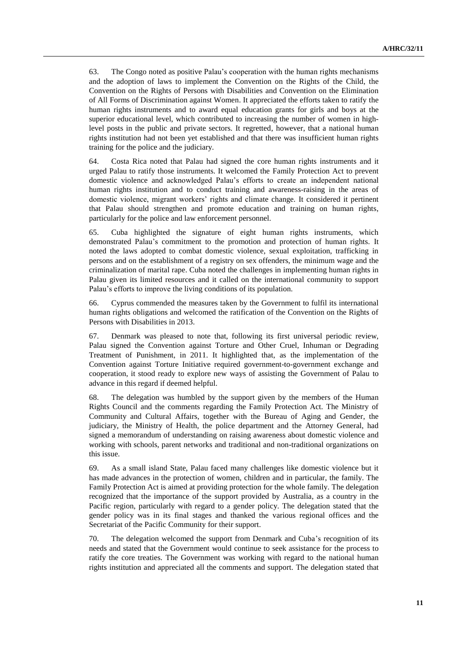63. The Congo noted as positive Palau's cooperation with the human rights mechanisms and the adoption of laws to implement the Convention on the Rights of the Child, the Convention on the Rights of Persons with Disabilities and Convention on the Elimination of All Forms of Discrimination against Women. It appreciated the efforts taken to ratify the human rights instruments and to award equal education grants for girls and boys at the superior educational level, which contributed to increasing the number of women in highlevel posts in the public and private sectors. It regretted, however, that a national human rights institution had not been yet established and that there was insufficient human rights training for the police and the judiciary.

64. Costa Rica noted that Palau had signed the core human rights instruments and it urged Palau to ratify those instruments. It welcomed the Family Protection Act to prevent domestic violence and acknowledged Palau's efforts to create an independent national human rights institution and to conduct training and awareness-raising in the areas of domestic violence, migrant workers' rights and climate change. It considered it pertinent that Palau should strengthen and promote education and training on human rights, particularly for the police and law enforcement personnel.

65. Cuba highlighted the signature of eight human rights instruments, which demonstrated Palau's commitment to the promotion and protection of human rights. It noted the laws adopted to combat domestic violence, sexual exploitation, trafficking in persons and on the establishment of a registry on sex offenders, the minimum wage and the criminalization of marital rape. Cuba noted the challenges in implementing human rights in Palau given its limited resources and it called on the international community to support Palau's efforts to improve the living conditions of its population.

66. Cyprus commended the measures taken by the Government to fulfil its international human rights obligations and welcomed the ratification of the Convention on the Rights of Persons with Disabilities in 2013.

67. Denmark was pleased to note that, following its first universal periodic review, Palau signed the Convention against Torture and Other Cruel, Inhuman or Degrading Treatment of Punishment, in 2011. It highlighted that, as the implementation of the Convention against Torture Initiative required government-to-government exchange and cooperation, it stood ready to explore new ways of assisting the Government of Palau to advance in this regard if deemed helpful.

68. The delegation was humbled by the support given by the members of the Human Rights Council and the comments regarding the Family Protection Act. The Ministry of Community and Cultural Affairs, together with the Bureau of Aging and Gender, the judiciary, the Ministry of Health, the police department and the Attorney General, had signed a memorandum of understanding on raising awareness about domestic violence and working with schools, parent networks and traditional and non-traditional organizations on this issue.

69. As a small island State, Palau faced many challenges like domestic violence but it has made advances in the protection of women, children and in particular, the family. The Family Protection Act is aimed at providing protection for the whole family. The delegation recognized that the importance of the support provided by Australia, as a country in the Pacific region, particularly with regard to a gender policy. The delegation stated that the gender policy was in its final stages and thanked the various regional offices and the Secretariat of the Pacific Community for their support.

70. The delegation welcomed the support from Denmark and Cuba's recognition of its needs and stated that the Government would continue to seek assistance for the process to ratify the core treaties. The Government was working with regard to the national human rights institution and appreciated all the comments and support. The delegation stated that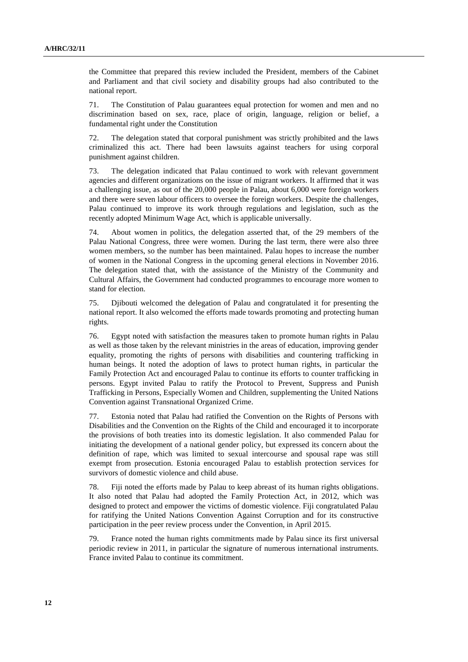the Committee that prepared this review included the President, members of the Cabinet and Parliament and that civil society and disability groups had also contributed to the national report.

71. The Constitution of Palau guarantees equal protection for women and men and no discrimination based on sex, race, place of origin, language, religion or belief, a fundamental right under the Constitution

72. The delegation stated that corporal punishment was strictly prohibited and the laws criminalized this act. There had been lawsuits against teachers for using corporal punishment against children.

73. The delegation indicated that Palau continued to work with relevant government agencies and different organizations on the issue of migrant workers. It affirmed that it was a challenging issue, as out of the 20,000 people in Palau, about 6,000 were foreign workers and there were seven labour officers to oversee the foreign workers. Despite the challenges, Palau continued to improve its work through regulations and legislation, such as the recently adopted Minimum Wage Act, which is applicable universally.

74. About women in politics, the delegation asserted that, of the 29 members of the Palau National Congress, three were women. During the last term, there were also three women members, so the number has been maintained. Palau hopes to increase the number of women in the National Congress in the upcoming general elections in November 2016. The delegation stated that, with the assistance of the Ministry of the Community and Cultural Affairs, the Government had conducted programmes to encourage more women to stand for election.

75. Djibouti welcomed the delegation of Palau and congratulated it for presenting the national report. It also welcomed the efforts made towards promoting and protecting human rights.

76. Egypt noted with satisfaction the measures taken to promote human rights in Palau as well as those taken by the relevant ministries in the areas of education, improving gender equality, promoting the rights of persons with disabilities and countering trafficking in human beings. It noted the adoption of laws to protect human rights, in particular the Family Protection Act and encouraged Palau to continue its efforts to counter trafficking in persons. Egypt invited Palau to ratify the Protocol to Prevent, Suppress and Punish Trafficking in Persons, Especially Women and Children, supplementing the United Nations Convention against Transnational Organized Crime.

77. Estonia noted that Palau had ratified the Convention on the Rights of Persons with Disabilities and the Convention on the Rights of the Child and encouraged it to incorporate the provisions of both treaties into its domestic legislation. It also commended Palau for initiating the development of a national gender policy, but expressed its concern about the definition of rape, which was limited to sexual intercourse and spousal rape was still exempt from prosecution. Estonia encouraged Palau to establish protection services for survivors of domestic violence and child abuse.

78. Fiji noted the efforts made by Palau to keep abreast of its human rights obligations. It also noted that Palau had adopted the Family Protection Act, in 2012, which was designed to protect and empower the victims of domestic violence. Fiji congratulated Palau for ratifying the United Nations Convention Against Corruption and for its constructive participation in the peer review process under the Convention, in April 2015.

79. France noted the human rights commitments made by Palau since its first universal periodic review in 2011, in particular the signature of numerous international instruments. France invited Palau to continue its commitment.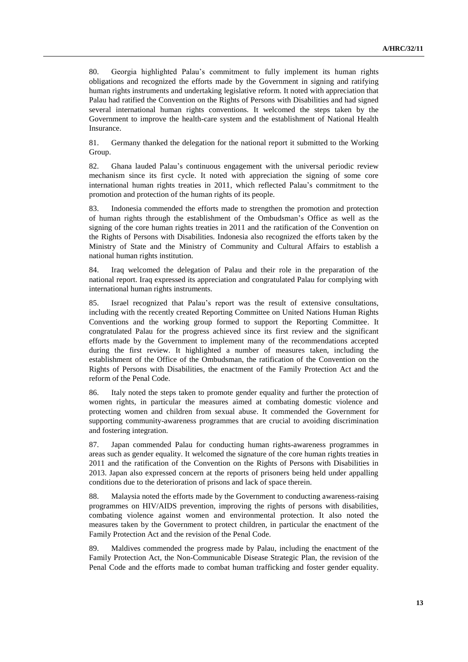80. Georgia highlighted Palau's commitment to fully implement its human rights obligations and recognized the efforts made by the Government in signing and ratifying human rights instruments and undertaking legislative reform. It noted with appreciation that Palau had ratified the Convention on the Rights of Persons with Disabilities and had signed several international human rights conventions. It welcomed the steps taken by the Government to improve the health-care system and the establishment of National Health Insurance.

81. Germany thanked the delegation for the national report it submitted to the Working Group.

82. Ghana lauded Palau's continuous engagement with the universal periodic review mechanism since its first cycle. It noted with appreciation the signing of some core international human rights treaties in 2011, which reflected Palau's commitment to the promotion and protection of the human rights of its people.

83. Indonesia commended the efforts made to strengthen the promotion and protection of human rights through the establishment of the Ombudsman's Office as well as the signing of the core human rights treaties in 2011 and the ratification of the Convention on the Rights of Persons with Disabilities. Indonesia also recognized the efforts taken by the Ministry of State and the Ministry of Community and Cultural Affairs to establish a national human rights institution.

84. Iraq welcomed the delegation of Palau and their role in the preparation of the national report. Iraq expressed its appreciation and congratulated Palau for complying with international human rights instruments.

85. Israel recognized that Palau's report was the result of extensive consultations, including with the recently created Reporting Committee on United Nations Human Rights Conventions and the working group formed to support the Reporting Committee. It congratulated Palau for the progress achieved since its first review and the significant efforts made by the Government to implement many of the recommendations accepted during the first review. It highlighted a number of measures taken, including the establishment of the Office of the Ombudsman, the ratification of the Convention on the Rights of Persons with Disabilities, the enactment of the Family Protection Act and the reform of the Penal Code.

86. Italy noted the steps taken to promote gender equality and further the protection of women rights, in particular the measures aimed at combating domestic violence and protecting women and children from sexual abuse. It commended the Government for supporting community-awareness programmes that are crucial to avoiding discrimination and fostering integration.

87. Japan commended Palau for conducting human rights-awareness programmes in areas such as gender equality. It welcomed the signature of the core human rights treaties in 2011 and the ratification of the Convention on the Rights of Persons with Disabilities in 2013. Japan also expressed concern at the reports of prisoners being held under appalling conditions due to the deterioration of prisons and lack of space therein.

88. Malaysia noted the efforts made by the Government to conducting awareness-raising programmes on HIV/AIDS prevention, improving the rights of persons with disabilities, combating violence against women and environmental protection. It also noted the measures taken by the Government to protect children, in particular the enactment of the Family Protection Act and the revision of the Penal Code.

89. Maldives commended the progress made by Palau, including the enactment of the Family Protection Act, the Non-Communicable Disease Strategic Plan, the revision of the Penal Code and the efforts made to combat human trafficking and foster gender equality.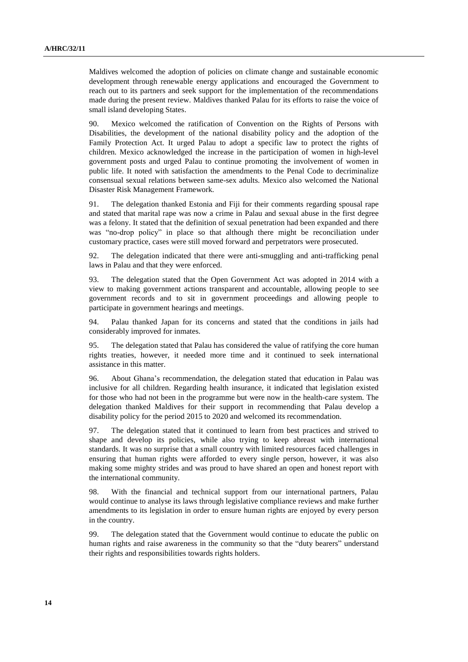Maldives welcomed the adoption of policies on climate change and sustainable economic development through renewable energy applications and encouraged the Government to reach out to its partners and seek support for the implementation of the recommendations made during the present review. Maldives thanked Palau for its efforts to raise the voice of small island developing States.

90. Mexico welcomed the ratification of Convention on the Rights of Persons with Disabilities, the development of the national disability policy and the adoption of the Family Protection Act. It urged Palau to adopt a specific law to protect the rights of children. Mexico acknowledged the increase in the participation of women in high-level government posts and urged Palau to continue promoting the involvement of women in public life. It noted with satisfaction the amendments to the Penal Code to decriminalize consensual sexual relations between same-sex adults. Mexico also welcomed the National Disaster Risk Management Framework.

91. The delegation thanked Estonia and Fiji for their comments regarding spousal rape and stated that marital rape was now a crime in Palau and sexual abuse in the first degree was a felony. It stated that the definition of sexual penetration had been expanded and there was "no-drop policy" in place so that although there might be reconciliation under customary practice, cases were still moved forward and perpetrators were prosecuted.

92. The delegation indicated that there were anti-smuggling and anti-trafficking penal laws in Palau and that they were enforced.

93. The delegation stated that the Open Government Act was adopted in 2014 with a view to making government actions transparent and accountable, allowing people to see government records and to sit in government proceedings and allowing people to participate in government hearings and meetings.

94. Palau thanked Japan for its concerns and stated that the conditions in jails had considerably improved for inmates.

95. The delegation stated that Palau has considered the value of ratifying the core human rights treaties, however, it needed more time and it continued to seek international assistance in this matter.

96. About Ghana's recommendation, the delegation stated that education in Palau was inclusive for all children. Regarding health insurance, it indicated that legislation existed for those who had not been in the programme but were now in the health-care system. The delegation thanked Maldives for their support in recommending that Palau develop a disability policy for the period 2015 to 2020 and welcomed its recommendation.

97. The delegation stated that it continued to learn from best practices and strived to shape and develop its policies, while also trying to keep abreast with international standards. It was no surprise that a small country with limited resources faced challenges in ensuring that human rights were afforded to every single person, however, it was also making some mighty strides and was proud to have shared an open and honest report with the international community.

98. With the financial and technical support from our international partners, Palau would continue to analyse its laws through legislative compliance reviews and make further amendments to its legislation in order to ensure human rights are enjoyed by every person in the country.

99. The delegation stated that the Government would continue to educate the public on human rights and raise awareness in the community so that the "duty bearers" understand their rights and responsibilities towards rights holders.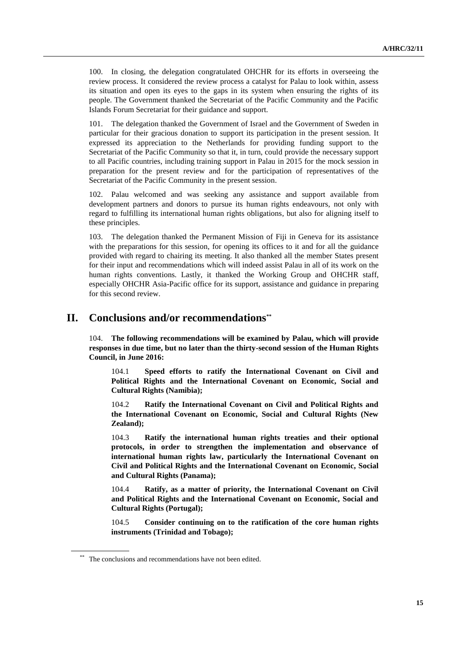100. In closing, the delegation congratulated OHCHR for its efforts in overseeing the review process. It considered the review process a catalyst for Palau to look within, assess its situation and open its eyes to the gaps in its system when ensuring the rights of its people. The Government thanked the Secretariat of the Pacific Community and the Pacific Islands Forum Secretariat for their guidance and support.

101. The delegation thanked the Government of Israel and the Government of Sweden in particular for their gracious donation to support its participation in the present session. It expressed its appreciation to the Netherlands for providing funding support to the Secretariat of the Pacific Community so that it, in turn, could provide the necessary support to all Pacific countries, including training support in Palau in 2015 for the mock session in preparation for the present review and for the participation of representatives of the Secretariat of the Pacific Community in the present session.

102. Palau welcomed and was seeking any assistance and support available from development partners and donors to pursue its human rights endeavours, not only with regard to fulfilling its international human rights obligations, but also for aligning itself to these principles.

103. The delegation thanked the Permanent Mission of Fiji in Geneva for its assistance with the preparations for this session, for opening its offices to it and for all the guidance provided with regard to chairing its meeting. It also thanked all the member States present for their input and recommendations which will indeed assist Palau in all of its work on the human rights conventions. Lastly, it thanked the Working Group and OHCHR staff, especially OHCHR Asia-Pacific office for its support, assistance and guidance in preparing for this second review.

### **II. Conclusions and/or recommendations\*\***

104. **The following recommendations will be examined by Palau, which will provide responses in due time, but no later than the thirty-second session of the Human Rights Council, in June 2016:**

104.1 **Speed efforts to ratify the International Covenant on Civil and Political Rights and the International Covenant on Economic, Social and Cultural Rights (Namibia);**

104.2 **Ratify the International Covenant on Civil and Political Rights and the International Covenant on Economic, Social and Cultural Rights (New Zealand);**

104.3 **Ratify the international human rights treaties and their optional protocols, in order to strengthen the implementation and observance of international human rights law, particularly the International Covenant on Civil and Political Rights and the International Covenant on Economic, Social and Cultural Rights (Panama);**

104.4 **Ratify, as a matter of priority, the International Covenant on Civil and Political Rights and the International Covenant on Economic, Social and Cultural Rights (Portugal);**

104.5 **Consider continuing on to the ratification of the core human rights instruments (Trinidad and Tobago);**

<sup>\*\*</sup> The conclusions and recommendations have not been edited.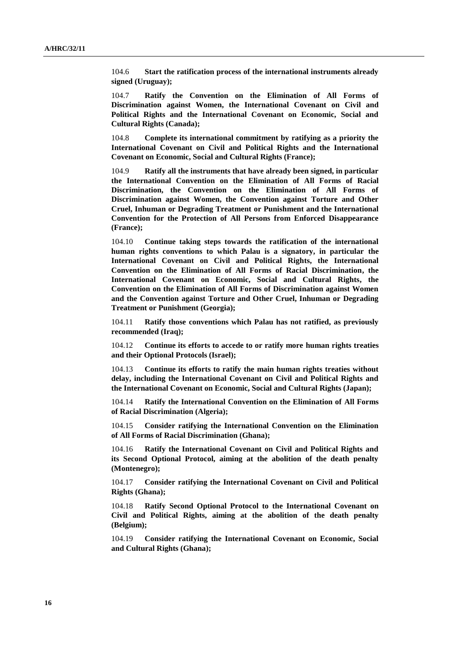104.6 **Start the ratification process of the international instruments already signed (Uruguay);**

104.7 **Ratify the Convention on the Elimination of All Forms of Discrimination against Women, the International Covenant on Civil and Political Rights and the International Covenant on Economic, Social and Cultural Rights (Canada);**

104.8 **Complete its international commitment by ratifying as a priority the International Covenant on Civil and Political Rights and the International Covenant on Economic, Social and Cultural Rights (France);**

104.9 **Ratify all the instruments that have already been signed, in particular the International Convention on the Elimination of All Forms of Racial Discrimination, the Convention on the Elimination of All Forms of Discrimination against Women, the Convention against Torture and Other Cruel, Inhuman or Degrading Treatment or Punishment and the International Convention for the Protection of All Persons from Enforced Disappearance (France);**

104.10 **Continue taking steps towards the ratification of the international human rights conventions to which Palau is a signatory, in particular the International Covenant on Civil and Political Rights, the International Convention on the Elimination of All Forms of Racial Discrimination, the International Covenant on Economic, Social and Cultural Rights, the Convention on the Elimination of All Forms of Discrimination against Women and the Convention against Torture and Other Cruel, Inhuman or Degrading Treatment or Punishment (Georgia);**

104.11 **Ratify those conventions which Palau has not ratified, as previously recommended (Iraq);**

104.12 **Continue its efforts to accede to or ratify more human rights treaties and their Optional Protocols (Israel);**

104.13 **Continue its efforts to ratify the main human rights treaties without delay, including the International Covenant on Civil and Political Rights and the International Covenant on Economic, Social and Cultural Rights (Japan);**

104.14 **Ratify the International Convention on the Elimination of All Forms of Racial Discrimination (Algeria);**

104.15 **Consider ratifying the International Convention on the Elimination of All Forms of Racial Discrimination (Ghana);**

104.16 **Ratify the International Covenant on Civil and Political Rights and its Second Optional Protocol, aiming at the abolition of the death penalty (Montenegro);**

104.17 **Consider ratifying the International Covenant on Civil and Political Rights (Ghana);**

104.18 **Ratify Second Optional Protocol to the International Covenant on Civil and Political Rights, aiming at the abolition of the death penalty (Belgium);**

104.19 **Consider ratifying the International Covenant on Economic, Social and Cultural Rights (Ghana);**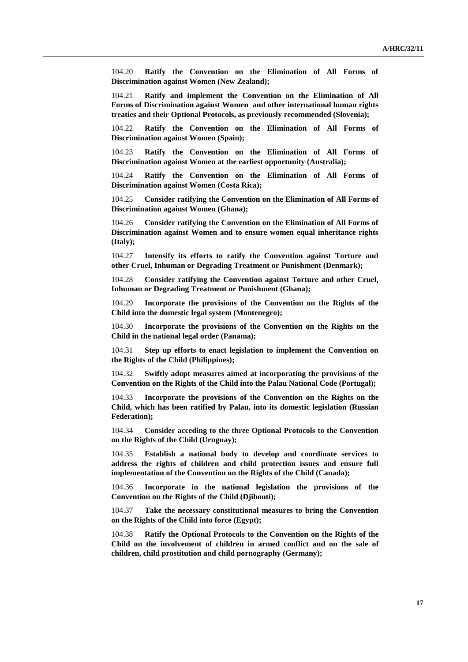104.20 **Ratify the Convention on the Elimination of All Forms of Discrimination against Women (New Zealand);**

104.21 **Ratify and implement the Convention on the Elimination of All Forms of Discrimination against Women and other international human rights treaties and their Optional Protocols, as previously recommended (Slovenia);**

104.22 **Ratify the Convention on the Elimination of All Forms of Discrimination against Women (Spain);**

104.23 **Ratify the Convention on the Elimination of All Forms of Discrimination against Women at the earliest opportunity (Australia);**

104.24 **Ratify the Convention on the Elimination of All Forms of Discrimination against Women (Costa Rica);**

104.25 **Consider ratifying the Convention on the Elimination of All Forms of Discrimination against Women (Ghana);**

104.26 **Consider ratifying the Convention on the Elimination of All Forms of Discrimination against Women and to ensure women equal inheritance rights (Italy);**

104.27 **Intensify its efforts to ratify the Convention against Torture and other Cruel, Inhuman or Degrading Treatment or Punishment (Denmark);**

104.28 **Consider ratifying the Convention against Torture and other Cruel, Inhuman or Degrading Treatment or Punishment (Ghana);**

104.29 **Incorporate the provisions of the Convention on the Rights of the Child into the domestic legal system (Montenegro);**

104.30 **Incorporate the provisions of the Convention on the Rights on the Child in the national legal order (Panama);**

104.31 **Step up efforts to enact legislation to implement the Convention on the Rights of the Child (Philippines);**

104.32 **Swiftly adopt measures aimed at incorporating the provisions of the Convention on the Rights of the Child into the Palau National Code (Portugal);**

104.33 **Incorporate the provisions of the Convention on the Rights on the Child, which has been ratified by Palau, into its domestic legislation (Russian Federation);**

104.34 **Consider acceding to the three Optional Protocols to the Convention on the Rights of the Child (Uruguay);**

104.35 **Establish a national body to develop and coordinate services to address the rights of children and child protection issues and ensure full implementation of the Convention on the Rights of the Child (Canada);**

104.36 **Incorporate in the national legislation the provisions of the Convention on the Rights of the Child (Djibouti);**

104.37 **Take the necessary constitutional measures to bring the Convention on the Rights of the Child into force (Egypt);**

104.38 **Ratify the Optional Protocols to the Convention on the Rights of the Child on the involvement of children in armed conflict and on the sale of children, child prostitution and child pornography (Germany);**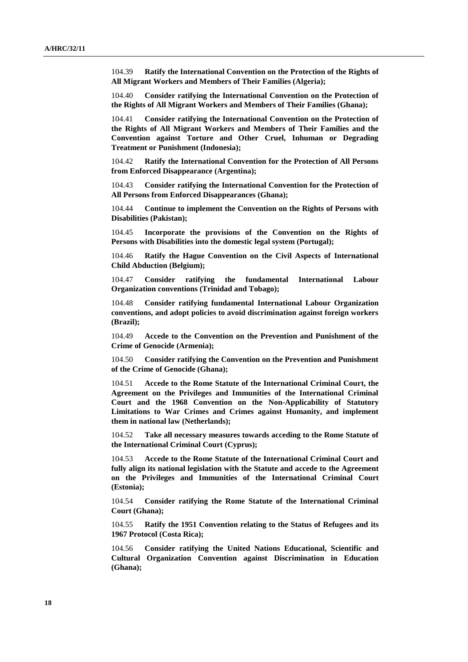104.39 **Ratify the International Convention on the Protection of the Rights of All Migrant Workers and Members of Their Families (Algeria);**

104.40 **Consider ratifying the International Convention on the Protection of the Rights of All Migrant Workers and Members of Their Families (Ghana);**

104.41 **Consider ratifying the International Convention on the Protection of the Rights of All Migrant Workers and Members of Their Families and the Convention against Torture and Other Cruel, Inhuman or Degrading Treatment or Punishment (Indonesia);**

104.42 **Ratify the International Convention for the Protection of All Persons from Enforced Disappearance (Argentina);**

104.43 **Consider ratifying the International Convention for the Protection of All Persons from Enforced Disappearances (Ghana);**

104.44 **Continue to implement the Convention on the Rights of Persons with Disabilities (Pakistan);**

104.45 **Incorporate the provisions of the Convention on the Rights of Persons with Disabilities into the domestic legal system (Portugal);**

104.46 **Ratify the Hague Convention on the Civil Aspects of International Child Abduction (Belgium);**

104.47 **Consider ratifying the fundamental International Labour Organization conventions (Trinidad and Tobago);**

104.48 **Consider ratifying fundamental International Labour Organization conventions, and adopt policies to avoid discrimination against foreign workers (Brazil);**

104.49 **Accede to the Convention on the Prevention and Punishment of the Crime of Genocide (Armenia);**

104.50 **Consider ratifying the Convention on the Prevention and Punishment of the Crime of Genocide (Ghana);**

104.51 **Accede to the Rome Statute of the International Criminal Court, the Agreement on the Privileges and Immunities of the International Criminal Court and the 1968 Convention on the Non-Applicability of Statutory Limitations to War Crimes and Crimes against Humanity, and implement them in national law (Netherlands);**

104.52 **Take all necessary measures towards acceding to the Rome Statute of the International Criminal Court (Cyprus);**

104.53 **Accede to the Rome Statute of the International Criminal Court and fully align its national legislation with the Statute and accede to the Agreement on the Privileges and Immunities of the International Criminal Court (Estonia);**

104.54 **Consider ratifying the Rome Statute of the International Criminal Court (Ghana);**

104.55 **Ratify the 1951 Convention relating to the Status of Refugees and its 1967 Protocol (Costa Rica);**

104.56 **Consider ratifying the United Nations Educational, Scientific and Cultural Organization Convention against Discrimination in Education (Ghana);**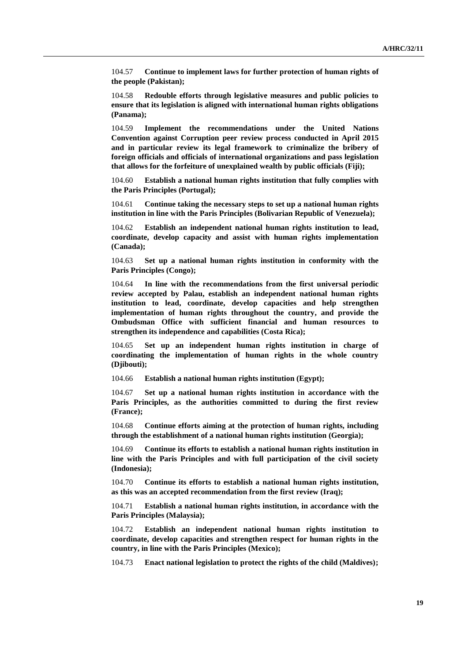104.57 **Continue to implement laws for further protection of human rights of the people (Pakistan);**

104.58 **Redouble efforts through legislative measures and public policies to ensure that its legislation is aligned with international human rights obligations (Panama);**

104.59 **Implement the recommendations under the United Nations Convention against Corruption peer review process conducted in April 2015 and in particular review its legal framework to criminalize the bribery of foreign officials and officials of international organizations and pass legislation that allows for the forfeiture of unexplained wealth by public officials (Fiji);**

104.60 **Establish a national human rights institution that fully complies with the Paris Principles (Portugal);**

104.61 **Continue taking the necessary steps to set up a national human rights institution in line with the Paris Principles (Bolivarian Republic of Venezuela);**

104.62 **Establish an independent national human rights institution to lead, coordinate, develop capacity and assist with human rights implementation (Canada);**

104.63 **Set up a national human rights institution in conformity with the Paris Principles (Congo);**

104.64 **In line with the recommendations from the first universal periodic review accepted by Palau, establish an independent national human rights institution to lead, coordinate, develop capacities and help strengthen implementation of human rights throughout the country, and provide the Ombudsman Office with sufficient financial and human resources to strengthen its independence and capabilities (Costa Rica);**

104.65 **Set up an independent human rights institution in charge of coordinating the implementation of human rights in the whole country (Djibouti);**

104.66 **Establish a national human rights institution (Egypt);**

104.67 **Set up a national human rights institution in accordance with the Paris Principles, as the authorities committed to during the first review (France);**

104.68 **Continue efforts aiming at the protection of human rights, including through the establishment of a national human rights institution (Georgia);**

104.69 **Continue its efforts to establish a national human rights institution in line with the Paris Principles and with full participation of the civil society (Indonesia);**

104.70 **Continue its efforts to establish a national human rights institution, as this was an accepted recommendation from the first review (Iraq);**

104.71 **Establish a national human rights institution, in accordance with the Paris Principles (Malaysia);**

104.72 **Establish an independent national human rights institution to coordinate, develop capacities and strengthen respect for human rights in the country, in line with the Paris Principles (Mexico);**

104.73 **Enact national legislation to protect the rights of the child (Maldives);**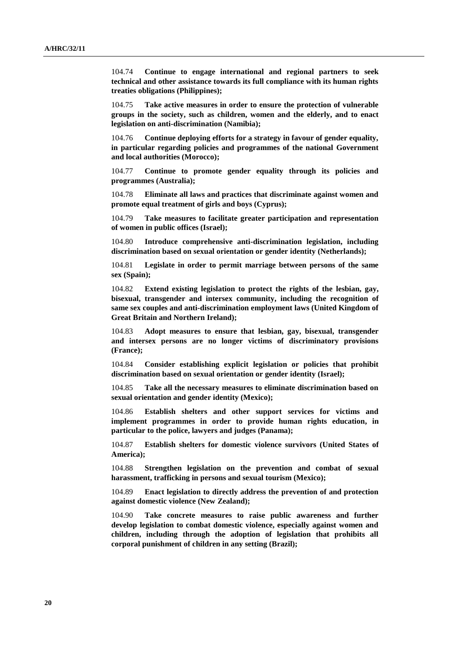104.74 **Continue to engage international and regional partners to seek technical and other assistance towards its full compliance with its human rights treaties obligations (Philippines);**

104.75 **Take active measures in order to ensure the protection of vulnerable groups in the society, such as children, women and the elderly, and to enact legislation on anti-discrimination (Namibia);**

104.76 **Continue deploying efforts for a strategy in favour of gender equality, in particular regarding policies and programmes of the national Government and local authorities (Morocco);**

104.77 **Continue to promote gender equality through its policies and programmes (Australia);**

104.78 **Eliminate all laws and practices that discriminate against women and promote equal treatment of girls and boys (Cyprus);**

104.79 **Take measures to facilitate greater participation and representation of women in public offices (Israel);**

104.80 **Introduce comprehensive anti-discrimination legislation, including discrimination based on sexual orientation or gender identity (Netherlands);**

104.81 **Legislate in order to permit marriage between persons of the same sex (Spain);**

104.82 **Extend existing legislation to protect the rights of the lesbian, gay, bisexual, transgender and intersex community, including the recognition of same sex couples and anti-discrimination employment laws (United Kingdom of Great Britain and Northern Ireland);**

104.83 **Adopt measures to ensure that lesbian, gay, bisexual, transgender and intersex persons are no longer victims of discriminatory provisions (France);**

104.84 **Consider establishing explicit legislation or policies that prohibit discrimination based on sexual orientation or gender identity (Israel);**

104.85 **Take all the necessary measures to eliminate discrimination based on sexual orientation and gender identity (Mexico);**

104.86 **Establish shelters and other support services for victims and implement programmes in order to provide human rights education, in particular to the police, lawyers and judges (Panama);**

104.87 **Establish shelters for domestic violence survivors (United States of America);**

104.88 **Strengthen legislation on the prevention and combat of sexual harassment, trafficking in persons and sexual tourism (Mexico);**

104.89 **Enact legislation to directly address the prevention of and protection against domestic violence (New Zealand);**

104.90 **Take concrete measures to raise public awareness and further develop legislation to combat domestic violence, especially against women and children, including through the adoption of legislation that prohibits all corporal punishment of children in any setting (Brazil);**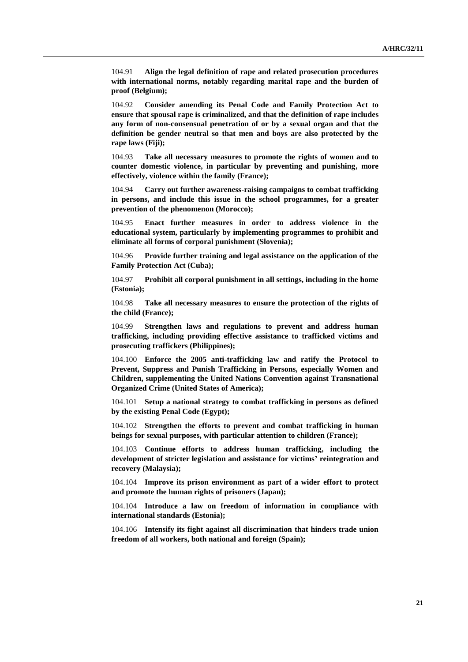104.91 **Align the legal definition of rape and related prosecution procedures with international norms, notably regarding marital rape and the burden of proof (Belgium);**

104.92 **Consider amending its Penal Code and Family Protection Act to ensure that spousal rape is criminalized, and that the definition of rape includes any form of non-consensual penetration of or by a sexual organ and that the definition be gender neutral so that men and boys are also protected by the rape laws (Fiji);**

104.93 **Take all necessary measures to promote the rights of women and to counter domestic violence, in particular by preventing and punishing, more effectively, violence within the family (France);**

104.94 **Carry out further awareness-raising campaigns to combat trafficking in persons, and include this issue in the school programmes, for a greater prevention of the phenomenon (Morocco);**

104.95 **Enact further measures in order to address violence in the educational system, particularly by implementing programmes to prohibit and eliminate all forms of corporal punishment (Slovenia);**

104.96 **Provide further training and legal assistance on the application of the Family Protection Act (Cuba);**

104.97 **Prohibit all corporal punishment in all settings, including in the home (Estonia);**

104.98 **Take all necessary measures to ensure the protection of the rights of the child (France);**

104.99 **Strengthen laws and regulations to prevent and address human trafficking, including providing effective assistance to trafficked victims and prosecuting traffickers (Philippines);**

104.100 **Enforce the 2005 anti-trafficking law and ratify the Protocol to Prevent, Suppress and Punish Trafficking in Persons, especially Women and Children, supplementing the United Nations Convention against Transnational Organized Crime (United States of America);**

104.101 **Setup a national strategy to combat trafficking in persons as defined by the existing Penal Code (Egypt);**

104.102 **Strengthen the efforts to prevent and combat trafficking in human beings for sexual purposes, with particular attention to children (France);**

104.103 **Continue efforts to address human trafficking, including the development of stricter legislation and assistance for victims' reintegration and recovery (Malaysia);**

104.104 **Improve its prison environment as part of a wider effort to protect and promote the human rights of prisoners (Japan);**

104.104 **Introduce a law on freedom of information in compliance with international standards (Estonia);**

104.106 **Intensify its fight against all discrimination that hinders trade union freedom of all workers, both national and foreign (Spain);**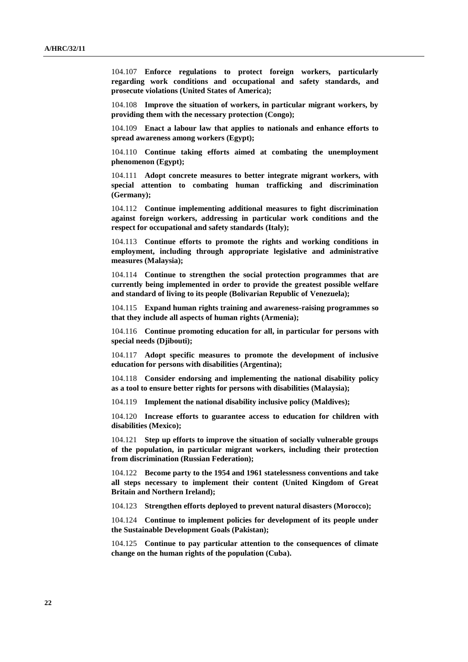104.107 **Enforce regulations to protect foreign workers, particularly regarding work conditions and occupational and safety standards, and prosecute violations (United States of America);**

104.108 **Improve the situation of workers, in particular migrant workers, by providing them with the necessary protection (Congo);**

104.109 **Enact a labour law that applies to nationals and enhance efforts to spread awareness among workers (Egypt);**

104.110 **Continue taking efforts aimed at combating the unemployment phenomenon (Egypt);**

104.111 **Adopt concrete measures to better integrate migrant workers, with special attention to combating human trafficking and discrimination (Germany);**

104.112 **Continue implementing additional measures to fight discrimination against foreign workers, addressing in particular work conditions and the respect for occupational and safety standards (Italy);**

104.113 **Continue efforts to promote the rights and working conditions in employment, including through appropriate legislative and administrative measures (Malaysia);**

104.114 **Continue to strengthen the social protection programmes that are currently being implemented in order to provide the greatest possible welfare and standard of living to its people (Bolivarian Republic of Venezuela);**

104.115 **Expand human rights training and awareness-raising programmes so that they include all aspects of human rights (Armenia);**

104.116 **Continue promoting education for all, in particular for persons with special needs (Djibouti);**

104.117 **Adopt specific measures to promote the development of inclusive education for persons with disabilities (Argentina);**

104.118 **Consider endorsing and implementing the national disability policy as a tool to ensure better rights for persons with disabilities (Malaysia);**

104.119 **Implement the national disability inclusive policy (Maldives);**

104.120 **Increase efforts to guarantee access to education for children with disabilities (Mexico);**

104.121 **Step up efforts to improve the situation of socially vulnerable groups of the population, in particular migrant workers, including their protection from discrimination (Russian Federation);**

104.122 **Become party to the 1954 and 1961 statelessness conventions and take all steps necessary to implement their content (United Kingdom of Great Britain and Northern Ireland);**

104.123 **Strengthen efforts deployed to prevent natural disasters (Morocco);**

104.124 **Continue to implement policies for development of its people under the Sustainable Development Goals (Pakistan);**

104.125 **Continue to pay particular attention to the consequences of climate change on the human rights of the population (Cuba).**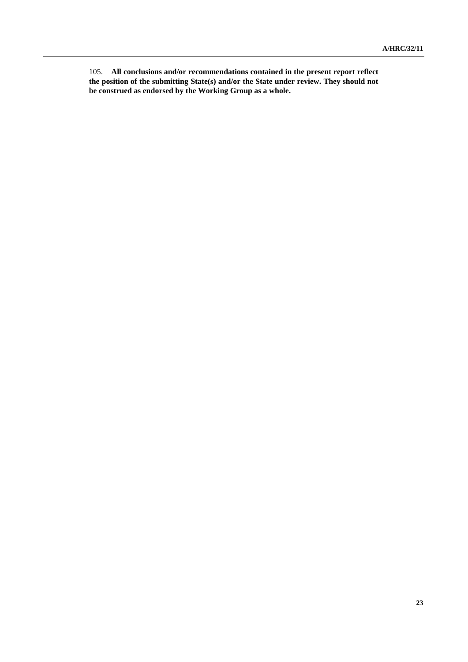105. **All conclusions and/or recommendations contained in the present report reflect the position of the submitting State(s) and/or the State under review. They should not be construed as endorsed by the Working Group as a whole.**